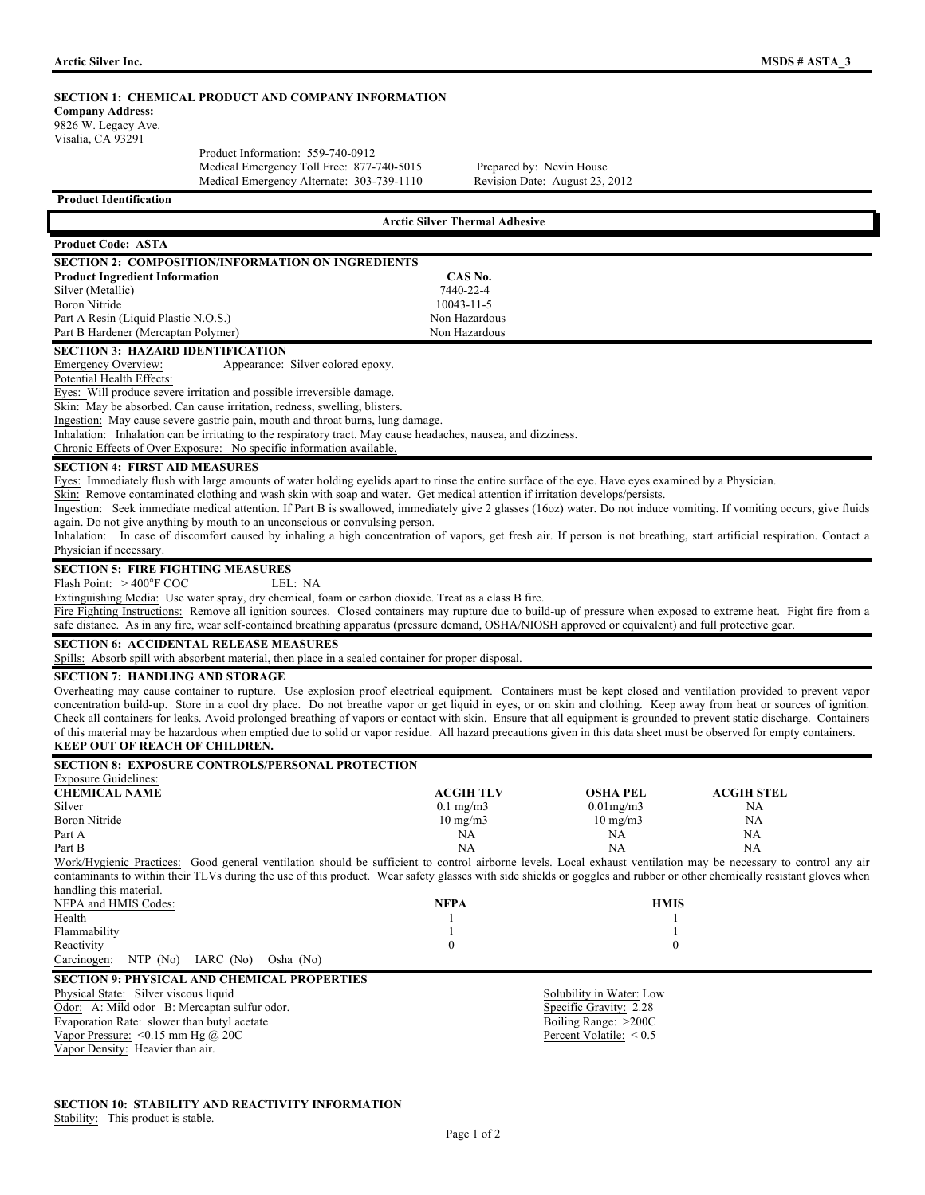| SECTION 1: CHEMICAL PRODUCT AND COMPANY INFORMATION<br><b>Company Address:</b>                                                                                                                                                                                                                                                                  |                                       |                                |                   |  |
|-------------------------------------------------------------------------------------------------------------------------------------------------------------------------------------------------------------------------------------------------------------------------------------------------------------------------------------------------|---------------------------------------|--------------------------------|-------------------|--|
| 9826 W. Legacy Ave.<br>Visalia, CA 93291                                                                                                                                                                                                                                                                                                        |                                       |                                |                   |  |
| Product Information: 559-740-0912                                                                                                                                                                                                                                                                                                               |                                       |                                |                   |  |
| Medical Emergency Toll Free: 877-740-5015                                                                                                                                                                                                                                                                                                       |                                       | Prepared by: Nevin House       |                   |  |
| Medical Emergency Alternate: 303-739-1110                                                                                                                                                                                                                                                                                                       |                                       | Revision Date: August 23, 2012 |                   |  |
| <b>Product Identification</b>                                                                                                                                                                                                                                                                                                                   |                                       |                                |                   |  |
|                                                                                                                                                                                                                                                                                                                                                 | <b>Arctic Silver Thermal Adhesive</b> |                                |                   |  |
| <b>Product Code: ASTA</b>                                                                                                                                                                                                                                                                                                                       |                                       |                                |                   |  |
| <b>SECTION 2: COMPOSITION/INFORMATION ON INGREDIENTS</b>                                                                                                                                                                                                                                                                                        |                                       |                                |                   |  |
| <b>Product Ingredient Information</b>                                                                                                                                                                                                                                                                                                           | CAS No.                               |                                |                   |  |
| Silver (Metallic)                                                                                                                                                                                                                                                                                                                               | 7440-22-4                             |                                |                   |  |
| Boron Nitride                                                                                                                                                                                                                                                                                                                                   | 10043-11-5<br>Non Hazardous           |                                |                   |  |
| Part A Resin (Liquid Plastic N.O.S.)<br>Part B Hardener (Mercaptan Polymer)                                                                                                                                                                                                                                                                     | Non Hazardous                         |                                |                   |  |
| <b>SECTION 3: HAZARD IDENTIFICATION</b>                                                                                                                                                                                                                                                                                                         |                                       |                                |                   |  |
| Emergency Overview:<br>Appearance: Silver colored epoxy.                                                                                                                                                                                                                                                                                        |                                       |                                |                   |  |
| Potential Health Effects:                                                                                                                                                                                                                                                                                                                       |                                       |                                |                   |  |
| Eyes: Will produce severe irritation and possible irreversible damage.                                                                                                                                                                                                                                                                          |                                       |                                |                   |  |
| Skin: May be absorbed. Can cause irritation, redness, swelling, blisters.                                                                                                                                                                                                                                                                       |                                       |                                |                   |  |
| Ingestion: May cause severe gastric pain, mouth and throat burns, lung damage.<br>Inhalation: Inhalation can be irritating to the respiratory tract. May cause headaches, nausea, and dizziness.                                                                                                                                                |                                       |                                |                   |  |
| Chronic Effects of Over Exposure: No specific information available.                                                                                                                                                                                                                                                                            |                                       |                                |                   |  |
| <b>SECTION 4: FIRST AID MEASURES</b>                                                                                                                                                                                                                                                                                                            |                                       |                                |                   |  |
| Eyes: Immediately flush with large amounts of water holding eyelids apart to rinse the entire surface of the eye. Have eyes examined by a Physician.                                                                                                                                                                                            |                                       |                                |                   |  |
| Skin: Remove contaminated clothing and wash skin with soap and water. Get medical attention if irritation develops/persists.                                                                                                                                                                                                                    |                                       |                                |                   |  |
| Ingestion: Seek immediate medical attention. If Part B is swallowed, immediately give 2 glasses (16oz) water. Do not induce vomiting. If vomiting occurs, give fluids                                                                                                                                                                           |                                       |                                |                   |  |
| again. Do not give anything by mouth to an unconscious or convulsing person.                                                                                                                                                                                                                                                                    |                                       |                                |                   |  |
| Inhalation: In case of discomfort caused by inhaling a high concentration of vapors, get fresh air. If person is not breathing, start artificial respiration. Contact a                                                                                                                                                                         |                                       |                                |                   |  |
| Physician if necessary.                                                                                                                                                                                                                                                                                                                         |                                       |                                |                   |  |
| <b>SECTION 5: FIRE FIGHTING MEASURES</b><br>Flash Point: $>400^{\circ}$ F COC<br>LEL: NA                                                                                                                                                                                                                                                        |                                       |                                |                   |  |
| Extinguishing Media: Use water spray, dry chemical, foam or carbon dioxide. Treat as a class B fire.                                                                                                                                                                                                                                            |                                       |                                |                   |  |
| Fire Fighting Instructions: Remove all ignition sources. Closed containers may rupture due to build-up of pressure when exposed to extreme heat. Fight fire from a                                                                                                                                                                              |                                       |                                |                   |  |
| safe distance. As in any fire, wear self-contained breathing apparatus (pressure demand, OSHA/NIOSH approved or equivalent) and full protective gear.                                                                                                                                                                                           |                                       |                                |                   |  |
| <b>SECTION 6: ACCIDENTAL RELEASE MEASURES</b>                                                                                                                                                                                                                                                                                                   |                                       |                                |                   |  |
| Spills: Absorb spill with absorbent material, then place in a sealed container for proper disposal.                                                                                                                                                                                                                                             |                                       |                                |                   |  |
| <b>SECTION 7: HANDLING AND STORAGE</b>                                                                                                                                                                                                                                                                                                          |                                       |                                |                   |  |
| Overheating may cause container to rupture. Use explosion proof electrical equipment. Containers must be kept closed and ventilation provided to prevent vapor                                                                                                                                                                                  |                                       |                                |                   |  |
| concentration build-up. Store in a cool dry place. Do not breathe vapor or get liquid in eyes, or on skin and clothing. Keep away from heat or sources of ignition.                                                                                                                                                                             |                                       |                                |                   |  |
| Check all containers for leaks. Avoid prolonged breathing of vapors or contact with skin. Ensure that all equipment is grounded to prevent static discharge. Containers<br>of this material may be hazardous when emptied due to solid or vapor residue. All hazard precautions given in this data sheet must be observed for empty containers. |                                       |                                |                   |  |
| KEEP OUT OF REACH OF CHILDREN.                                                                                                                                                                                                                                                                                                                  |                                       |                                |                   |  |
| <b>SECTION 8: EXPOSURE CONTROLS/PERSONAL PROTECTION</b>                                                                                                                                                                                                                                                                                         |                                       |                                |                   |  |
| <b>Exposure Guidelines:</b>                                                                                                                                                                                                                                                                                                                     |                                       |                                |                   |  |
| <b>CHEMICAL NAME</b>                                                                                                                                                                                                                                                                                                                            | <b>ACGIH TLV</b>                      | <b>OSHA PEL</b>                | <b>ACGIH STEL</b> |  |
| Silver                                                                                                                                                                                                                                                                                                                                          | $0.1$ mg/m $3$                        | $0.01$ mg/m $3$                | NA                |  |
| Boron Nitride                                                                                                                                                                                                                                                                                                                                   | $10 \text{ mg/m}$                     | $10 \text{ mg/m}$              | NA                |  |
| Part A<br>Part B                                                                                                                                                                                                                                                                                                                                | NA<br>NA                              | NA<br>NA                       | NA<br>NA          |  |
| Work/Hygienic Practices: Good general ventilation should be sufficient to control airborne levels. Local exhaust ventilation may be necessary to control any air                                                                                                                                                                                |                                       |                                |                   |  |
| contaminants to within their TLVs during the use of this product. Wear safety glasses with side shields or goggles and rubber or other chemically resistant gloves when                                                                                                                                                                         |                                       |                                |                   |  |
| handling this material.                                                                                                                                                                                                                                                                                                                         |                                       |                                |                   |  |
| NFPA and HMIS Codes:                                                                                                                                                                                                                                                                                                                            | <b>NFPA</b>                           |                                | <b>HMIS</b>       |  |
| Health                                                                                                                                                                                                                                                                                                                                          | 1<br>-1                               |                                | 1<br>1            |  |
| Flammability<br>Reactivity                                                                                                                                                                                                                                                                                                                      | $\boldsymbol{0}$                      |                                | $\boldsymbol{0}$  |  |
| NTP (No)<br>Carcinogen:<br>IARC (No)<br>Osha (No)                                                                                                                                                                                                                                                                                               |                                       |                                |                   |  |
| <b>SECTION 9: PHYSICAL AND CHEMICAL PROPERTIES</b>                                                                                                                                                                                                                                                                                              |                                       |                                |                   |  |
| Physical State: Silver viscous liquid                                                                                                                                                                                                                                                                                                           |                                       | Solubility in Water: Low       |                   |  |
| Odor: A: Mild odor B: Mercaptan sulfur odor.                                                                                                                                                                                                                                                                                                    |                                       | Specific Gravity: 2.28         |                   |  |
| Evaporation Rate: slower than butyl acetate                                                                                                                                                                                                                                                                                                     |                                       | Boiling Range: >200C           |                   |  |
| Vapor Pressure: < $0.15$ mm Hg @ 20C                                                                                                                                                                                                                                                                                                            |                                       | Percent Volatile: $< 0.5$      |                   |  |

# **SECTION 10: STABILITY AND REACTIVITY INFORMATION**  Stability: This product is stable.

Vapor Density: Heavier than air.